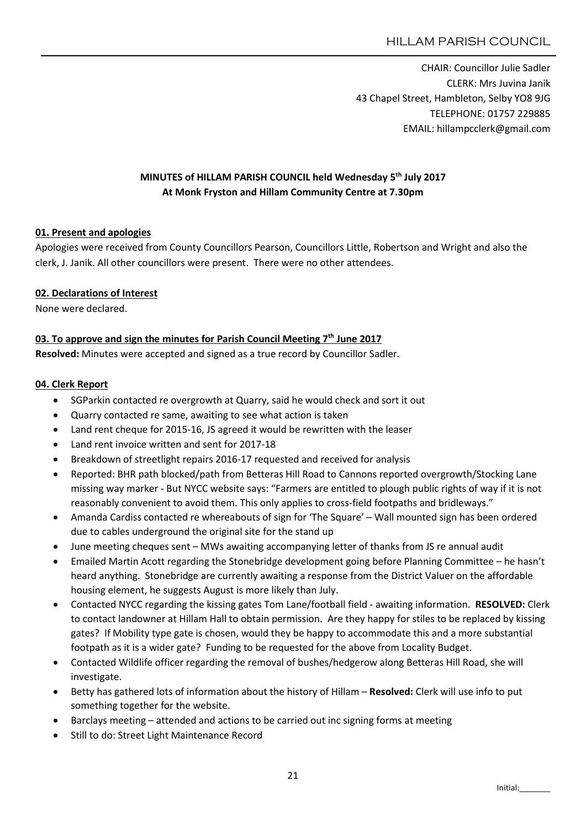CHAIR: Councillor Julie Sadler CLERK: Mrs Juvina Janik 43 Chapel Street, Hambleton, Selby YO8 9JG TELEPHONE: 01757 229885 EMAIL: hillampcclerk@gmail.com

# MINUTES of HILLAM PARISH COUNCIL held Wednesday 5th July 2017 At Monk Fryston and Hillam Community Centre at 7.30pm

## 01. Present and apologies

Apologies were received from County Councillors Pearson, Councillors Little, Robertson and Wright and also the clerk, J. Janik. All other councillors were present. There were no other attendees.

## 02. Declarations of Interest

None were declared.

## 03. To approve and sign the minutes for Parish Council Meeting  $7<sup>th</sup>$  June 2017

Resolved: Minutes were accepted and signed as a true record by Councillor Sadler.

## 04. Clerk Report

- SGParkin contacted re overgrowth at Quarry, said he would check and sort it out
- Quarry contacted re same, awaiting to see what action is taken
- Land rent cheque for 2015-16, JS agreed it would be rewritten with the leaser
- Land rent invoice written and sent for 2017-18
- Breakdown of streetlight repairs 2016-17 requested and received for analysis
- Reported: BHR path blocked/path from Betteras Hill Road to Cannons reported overgrowth/Stocking Lane missing way marker - But NYCC website says: "Farmers are entitled to plough public rights of way if it is not reasonably convenient to avoid them. This only applies to cross-field footpaths and bridleways."
- Amanda Cardiss contacted re whereabouts of sign for 'The Square' Wall mounted sign has been ordered due to cables underground the original site for the stand up
- June meeting cheques sent MWs awaiting accompanying letter of thanks from JS re annual audit
- Emailed Martin Acott regarding the Stonebridge development going before Planning Committee he hasn't heard anything. Stonebridge are currently awaiting a response from the District Valuer on the affordable housing element, he suggests August is more likely than July.
- Contacted NYCC regarding the kissing gates Tom Lane/football field awaiting information. RESOLVED: Clerk to contact landowner at Hillam Hall to obtain permission. Are they happy for stiles to be replaced by kissing gates? If Mobility type gate is chosen, would they be happy to accommodate this and a more substantial footpath as it is a wider gate? Funding to be requested for the above from Locality Budget.
- Contacted Wildlife officer regarding the removal of bushes/hedgerow along Betteras Hill Road, she will investigate.
- **Betty has gathered lots of information about the history of Hillam Resolved: Clerk will use info to put 4** something together for the website.
- Barclays meeting attended and actions to be carried out inc signing forms at meeting
- Still to do: Street Light Maintenance Record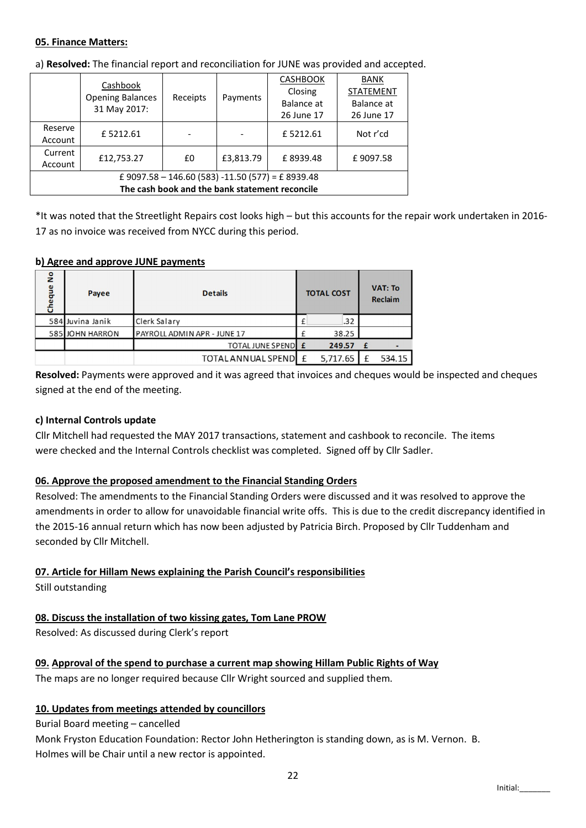### 05. Finance Matters:

|                                                    | Cashbook<br><b>Opening Balances</b><br>31 May 2017: | Receipts |           | <b>CASHBOOK</b> | <b>BANK</b><br><b>STATEMENT</b> |  |  |  |  |  |
|----------------------------------------------------|-----------------------------------------------------|----------|-----------|-----------------|---------------------------------|--|--|--|--|--|
|                                                    |                                                     |          | Payments  | Closing         |                                 |  |  |  |  |  |
|                                                    |                                                     |          |           | Balance at      | Balance at                      |  |  |  |  |  |
|                                                    |                                                     |          |           | 26 June 17      | 26 June 17                      |  |  |  |  |  |
| Reserve                                            | £5212.61                                            |          |           | £5212.61        | Not r'cd                        |  |  |  |  |  |
| Account                                            |                                                     |          |           |                 |                                 |  |  |  |  |  |
| Current                                            | £12,753.27                                          | £0       | £3,813.79 | £8939.48        | £9097.58                        |  |  |  |  |  |
| Account                                            |                                                     |          |           |                 |                                 |  |  |  |  |  |
| £ 9097.58 - 146.60 (583) - 11.50 (577) = £ 8939.48 |                                                     |          |           |                 |                                 |  |  |  |  |  |
| The cash book and the bank statement reconcile     |                                                     |          |           |                 |                                 |  |  |  |  |  |

a) Resolved: The financial report and reconciliation for JUNE was provided and accepted.

\*It was noted that the Streetlight Repairs cost looks high – but this accounts for the repair work undertaken in 2016- 17 as no invoice was received from NYCC during this period.

### b) Agree and approve JUNE payments

| å<br>Cheque | Payee            | <b>Details</b>              |  | <b>TOTAL COST</b> |  |   | <b>VAT: To</b><br><b>Reclaim</b> |  |  |
|-------------|------------------|-----------------------------|--|-------------------|--|---|----------------------------------|--|--|
|             | 584 Juvina Janik | Clerk Salary                |  | .32               |  |   |                                  |  |  |
|             | 585 JOHN HARRON  | PAYROLL ADMIN APR - JUNE 17 |  | 38.25             |  |   |                                  |  |  |
|             |                  | <b>TOTAL JUNE SPEND E</b>   |  | 249.57            |  | f |                                  |  |  |
|             |                  | TOTAL ANNUAL SPENDL E       |  | 5,717.65          |  |   | 534.15                           |  |  |

Resolved: Payments were approved and it was agreed that invoices and cheques would be inspected and cheques signed at the end of the meeting.

## c) Internal Controls update

Cllr Mitchell had requested the MAY 2017 transactions, statement and cashbook to reconcile. The items were checked and the Internal Controls checklist was completed. Signed off by Cllr Sadler.

## 06. Approve the proposed amendment to the Financial Standing Orders

Resolved: The amendments to the Financial Standing Orders were discussed and it was resolved to approve the amendments in order to allow for unavoidable financial write offs. This is due to the credit discrepancy identified in the 2015-16 annual return which has now been adjusted by Patricia Birch. Proposed by Cllr Tuddenham and seconded by Cllr Mitchell.

# 07. Article for Hillam News explaining the Parish Council's responsibilities

Still outstanding

# 08. Discuss the installation of two kissing gates, Tom Lane PROW

Resolved: As discussed during Clerk's report

# 09. Approval of the spend to purchase a current map showing Hillam Public Rights of Way

The maps are no longer required because Cllr Wright sourced and supplied them.

# 10. Updates from meetings attended by councillors

# Burial Board meeting – cancelled

Monk Fryston Education Foundation: Rector John Hetherington is standing down, as is M. Vernon. B. Holmes will be Chair until a new rector is appointed.